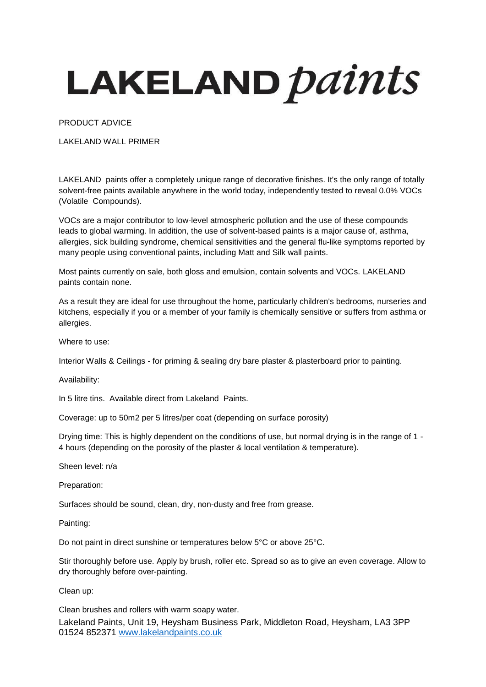## LAKELAND *paints*

PRODUCT ADVICE

LAKELAND WALL PRIMER

LAKELAND paints offer a completely unique range of decorative finishes. It's the only range of totally solvent-free paints available anywhere in the world today, independently tested to reveal 0.0% VOCs (Volatile Compounds).

VOCs are a major contributor to low-level atmospheric pollution and the use of these compounds leads to global warming. In addition, the use of solvent-based paints is a major cause of, asthma, allergies, sick building syndrome, chemical sensitivities and the general flu-like symptoms reported by many people using conventional paints, including Matt and Silk wall paints.

Most paints currently on sale, both gloss and emulsion, contain solvents and VOCs. LAKELAND paints contain none.

As a result they are ideal for use throughout the home, particularly children's bedrooms, nurseries and kitchens, especially if you or a member of your family is chemically sensitive or suffers from asthma or allergies.

Where to use:

Interior Walls & Ceilings - for priming & sealing dry bare plaster & plasterboard prior to painting.

Availability:

In 5 litre tins. Available direct from Lakeland Paints.

Coverage: up to 50m2 per 5 litres/per coat (depending on surface porosity)

Drying time: This is highly dependent on the conditions of use, but normal drying is in the range of 1 - 4 hours (depending on the porosity of the plaster & local ventilation & temperature).

Sheen level: n/a

Preparation:

Surfaces should be sound, clean, dry, non-dusty and free from grease.

Painting:

Do not paint in direct sunshine or temperatures below 5°C or above 25°C.

Stir thoroughly before use. Apply by brush, roller etc. Spread so as to give an even coverage. Allow to dry thoroughly before over-painting.

Clean up:

Lakeland Paints, Unit 19, Heysham Business Park, Middleton Road, Heysham, LA3 3PP 01524 852371 [www.lakelandpaints.co.uk](http://www.lakelandpaints.co.uk/) Clean brushes and rollers with warm soapy water.